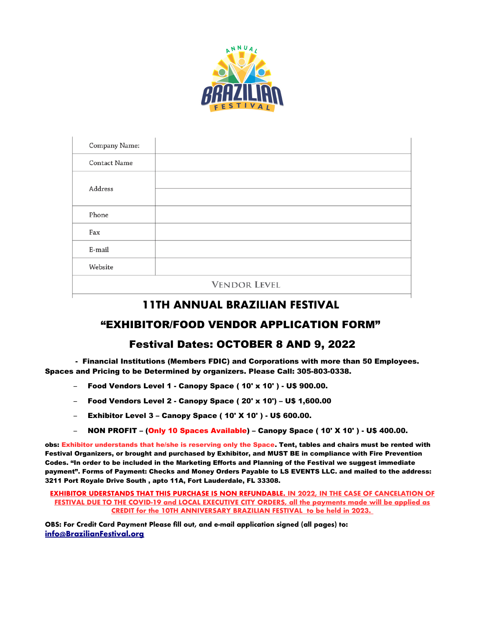

| Company Name:       |  |
|---------------------|--|
| <b>Contact Name</b> |  |
| Address             |  |
|                     |  |
| Phone               |  |
| Fax                 |  |
| E-mail              |  |
| Website             |  |
| <b>VENDOR LEVEL</b> |  |

# **11TH ANNUAL BRAZILIAN FESTIVAL**

# "EXHIBITOR/FOOD VENDOR APPLICATION FORM"

# Festival Dates: OCTOBER 8 AND 9, 2022

 - Financial Institutions (Members FDIC) and Corporations with more than 50 Employees. Spaces and Pricing to be Determined by organizers. Please Call: 305-803-0338.

- Food Vendors Level 1 Canopy Space ( 10' x 10' ) U\$ 900.00.
- Food Vendors Level 2 Canopy Space ( 20' x 10') U\$ 1,600.00
- Exhibitor Level 3 Canopy Space ( 10' X 10' ) U\$ 600.00.
- NON PROFIT (Only 10 Spaces Available) Canopy Space ( 10' X 10' ) U\$ 400.00.

obs: Exhibitor understands that he/she is reserving only the Space. Tent, tables and chairs must be rented with Festival Organizers, or brought and purchased by Exhibitor, and MUST BE in compliance with Fire Prevention Codes. "In order to be included in the Marketing Efforts and Planning of the Festival we suggest immediate payment". Forms of Payment: Checks and Money Orders Payable to LS EVENTS LLC. and mailed to the address: 3211 Port Royale Drive South , apto 11A, Fort Lauderdale, FL 33308.

### **EXHIBITOR UDERSTANDS THAT THIS PURCHASE IS NON REFUNDABLE. IN 2022, IN THE CASE OF CANCELATION OF FESTIVAL DUE TO THE COVID-19 and LOCAL EXECUTIVE CITY ORDERS, all the payments made will be applied as CREDIT for the 10TH ANNIVERSARY BRAZILIAN FESTIVAL to be held in 2023.**

**OBS: For Credit Card Payment Please fll out, and e-mail application signed (all pages) to: [info@BrazilianFestival.org](mailto:info@BrazilianFestival.org)**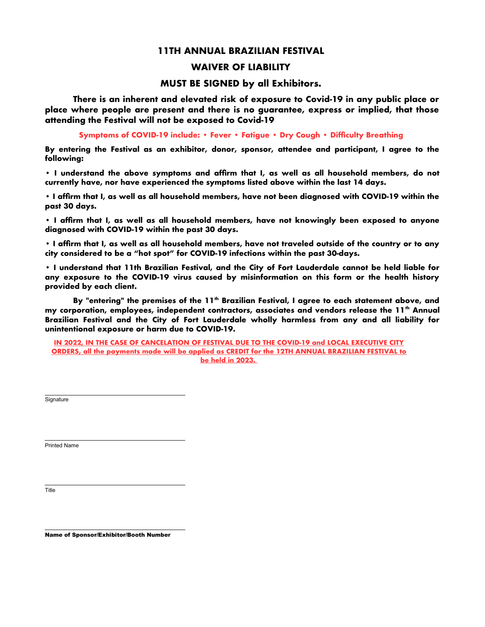## **11TH ANNUAL BRAZILIAN FESTIVAL**

## **WAIVER OF LIABILITY**

## **MUST BE SIGNED by all Exhibitors.**

**There is an inherent and elevated risk of exposure to Covid-19 in any public place or place where people are present and there is no guarantee, express or implied, that those attending the Festival will not be exposed to Covid-19** 

Symptoms of COVID-19 include: • Fever • Fatigue • Dry Cough • Difficulty Breathing

**By entering the Festival as an exhibitor, donor, sponsor, attendee and participant, I agree to the following:** 

**• I understand the above symptoms and affrm that I, as well as all household members, do not currently have, nor have experienced the symptoms listed above within the last 14 days.** 

**• I affrm that I, as well as all household members, have not been diagnosed with COVID-19 within the past 30 days.** 

**• I affrm that I, as well as all household members, have not knowingly been exposed to anyone diagnosed with COVID-19 within the past 30 days.** 

**• I affrm that I, as well as all household members, have not traveled outside of the country or to any city considered to be a "hot spot" for COVID-19 infections within the past 30-days.** 

**• I understand that 11th Brazilian Festival, and the City of Fort Lauderdale cannot be held liable for any exposure to the COVID-19 virus caused by misinformation on this form or the health history provided by each client.** 

**By "entering" the premises of the 11th Brazilian Festival, I agree to each statement above, and my corporation, employees, independent contractors, associates and vendors release the 11th Annual Brazilian Festival and the City of Fort Lauderdale wholly harmless from any and all liability for unintentional exposure or harm due to COVID-19.**

**IN 2022, IN THE CASE OF CANCELATION OF FESTIVAL DUE TO THE COVID-19 and LOCAL EXECUTIVE CITY ORDERS, all the payments made will be applied as CREDIT for the 12TH ANNUAL BRAZILIAN FESTIVAL to be held in 2023.** 

**Signature** 

 $\overline{a}$ 

 $\overline{a}$ 

Printed Name

 $\overline{a}$ Title

 $\overline{a}$ 

Name of Sponsor/Exhibitor/Booth Number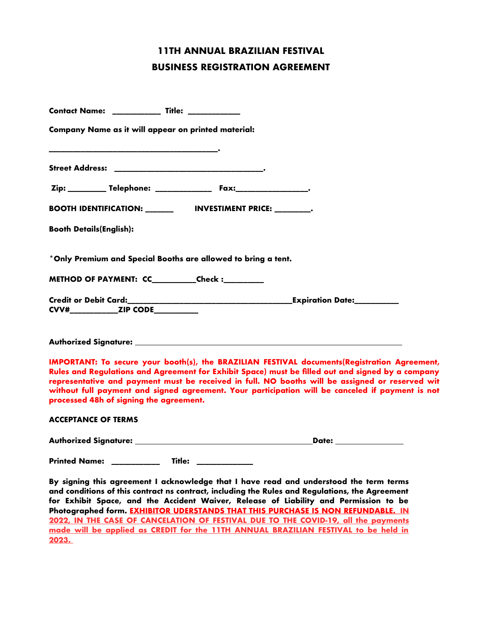# **11TH ANNUAL BRAZILIAN FESTIVAL BUSINESS REGISTRATION AGREEMENT**

| Contact Name: ___________ Title: ___________                                                                                                                                                                                                                                                                                                                                                                                                        |
|-----------------------------------------------------------------------------------------------------------------------------------------------------------------------------------------------------------------------------------------------------------------------------------------------------------------------------------------------------------------------------------------------------------------------------------------------------|
| Company Name as it will appear on printed material:                                                                                                                                                                                                                                                                                                                                                                                                 |
|                                                                                                                                                                                                                                                                                                                                                                                                                                                     |
| Zip: _________ Telephone: _______________ Fax:__________________.                                                                                                                                                                                                                                                                                                                                                                                   |
| BOOTH IDENTIFICATION: _______________ INVESTIMENT PRICE: __________.                                                                                                                                                                                                                                                                                                                                                                                |
| <b>Booth Details(English):</b>                                                                                                                                                                                                                                                                                                                                                                                                                      |
| *Only Premium and Special Booths are allowed to bring a tent.                                                                                                                                                                                                                                                                                                                                                                                       |
| METHOD OF PAYMENT: CC_________Check :________                                                                                                                                                                                                                                                                                                                                                                                                       |
|                                                                                                                                                                                                                                                                                                                                                                                                                                                     |
|                                                                                                                                                                                                                                                                                                                                                                                                                                                     |
| IMPORTANT: To secure your booth(s), the BRAZILIAN FESTIVAL documents(Registration Agreement,<br>Rules and Regulations and Agreement for Exhibit Space) must be filled out and signed by a company<br>representative and payment must be received in full. NO booths will be assigned or reserved wit<br>without full payment and signed agreement. Your participation will be canceled if payment is not<br>processed 48h of signing the agreement. |
| <b>ACCEPTANCE OF TERMS</b>                                                                                                                                                                                                                                                                                                                                                                                                                          |
| _Date: ________________                                                                                                                                                                                                                                                                                                                                                                                                                             |
| Title:<br><b>Printed Name:</b>                                                                                                                                                                                                                                                                                                                                                                                                                      |
| By signing this agreement I acknowledge that I have read and understood the term terms<br>and conditions of this contract ns contract, including the Rules and Regulations, the Agreement<br>for Exhibit Space, and the Accident Waiver, Release of Liability and Permission to be<br>Photographed form. EXHIBITOR UDERSTANDS THAT THIS PURCHASE IS NON REFUNDABLE. IN                                                                              |

**2022, IN THE CASE OF CANCELATION OF FESTIVAL DUE TO THE COVID-19, all the payments made will be applied as CREDIT for the 11TH ANNUAL BRAZILIAN FESTIVAL to be held in 2023.**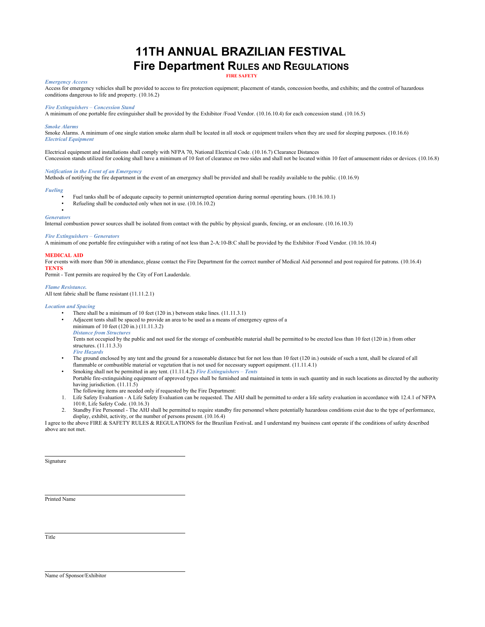## **11TH ANNUAL BRAZILIAN FESTIVAL Fire Department RULES AND REGULATIONS FIRE SAFETY**

#### *Emergency Access*

Access for emergency vehicles shall be provided to access to fire protection equipment; placement of stands, concession booths, and exhibits; and the control of hazardous conditions dangerous to life and property. (10.16.2)

#### *Fire Extinguishers* – *Concession Stand*

A minimum of one portable fire extinguisher shall be provided by the Exhibitor /Food Vendor. (10.16.10.4) for each concession stand. (10.16.5)

#### *Smoke Alarms*

Smoke Alarms. A minimum of one single station smoke alarm shall be located in all stock or equipment trailers when they are used for sleeping purposes. (10.16.6) *Electrical Equipment* 

Electrical equipment and installations shall comply with NFPA 70, National Electrical Code. (10.16.7) Clearance Distances Concession stands utilized for cooking shall have a minimum of 10 feet of clearance on two sides and shall not be located within 10 feet of amusement rides or devices. (10.16.8)

#### *Notification in the Event of an Emergency*

Methods of notifying the fire department in the event of an emergency shall be provided and shall be readily available to the public. (10.16.9)

#### *Fueling*

- Fuel tanks shall be of adequate capacity to permit uninterrupted operation during normal operating hours. (10.16.10.1)
- Refueling shall be conducted only when not in use. (10.16.10.2)

#### • *Generators*

Internal combustion power sources shall be isolated from contact with the public by physical guards, fencing, or an enclosure. (10.16.10.3)

#### *Fire Extinguishers* – *Generators*

A minimum of one portable fire extinguisher with a rating of not less than 2-A:10-B:C shall be provided by the Exhibitor /Food Vendor. (10.16.10.4)

#### **MEDICAL AID**

For events with more than 500 in attendance, please contact the Fire Department for the correct number of Medical Aid personnel and post required for patrons. (10.16.4) **TENTS** 

Permit - Tent permits are required by the City of Fort Lauderdale.

#### *Flame Resistance.*

All tent fabric shall be flame resistant (11.11.2.1)

#### *Location and Spacing*

- There shall be a minimum of 10 feet (120 in.) between stake lines. (11.11.3.1) • Adjacent tents shall be spaced to provide an area to be used as a means of emergency egress of a minimum of 10 feet (120 in.) (11.11.3.2) *Distance from Structures*  Tents not occupied by the public and not used for the storage of combustible material shall be permitted to be erected less than 10 feet (120 in.) from other structures. (11.11.3.3) *Fire Hazards*
- The ground enclosed by any tent and the ground for a reasonable distance but for not less than 10 feet (120 in.) outside of such a tent, shall be cleared of all flammable or combustible material or vegetation that is not used for necessary support equipment. (11.11.4.1)
- Smoking shall not be permitted in any tent. (11.11.4.2) *Fire Extinguishers Tents*  Portable fire-extinguishing equipment of approved types shall be furnished and maintained in tents in such quantity and in such locations as directed by the authority having jurisdiction. (11.11.5)
- The following items are needed only if requested by the Fire Department:
- 1. Life Safety Evaluation A Life Safety Evaluation can be requested. The AHJ shall be permitted to order a life safety evaluation in accordance with 12.4.1 of NFPA 101®, Life Safety Code. (10.16.3)
- 2. Standby Fire Personnel The AHJ shall be permitted to require standby fire personnel where potentially hazardous conditions exist due to the type of performance, display, exhibit, activity, or the number of persons present. (10.16.4)

I agree to the above FIRE & SAFETY RULES & REGULATIONS for the Brazilian FestivaL and I understand my business cant operate if the conditions of safety described above are not met.

Signature

 $\overline{\phantom{a}}$ 

Printed Name

l Title

l